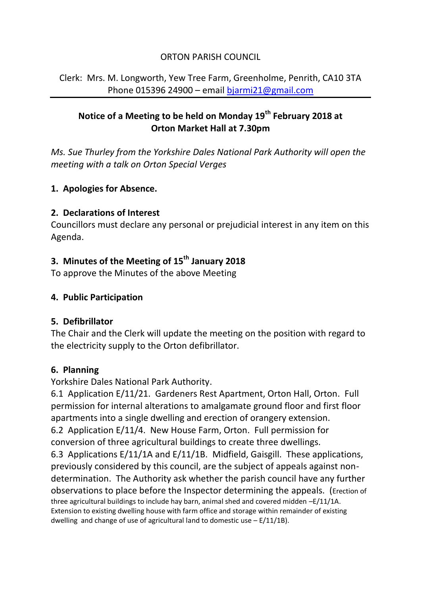### ORTON PARISH COUNCIL

Clerk: Mrs. M. Longworth, Yew Tree Farm, Greenholme, Penrith, CA10 3TA Phone 015396 24900 – email [bjarmi21@gmail.com](mailto:bjarmi21@gmail.com)

# **Notice of a Meeting to be held on Monday 19th February 2018 at Orton Market Hall at 7.30pm**

*Ms. Sue Thurley from the Yorkshire Dales National Park Authority will open the meeting with a talk on Orton Special Verges*

### **1. Apologies for Absence.**

#### **2. Declarations of Interest**

Councillors must declare any personal or prejudicial interest in any item on this Agenda.

# **3. Minutes of the Meeting of 15th January 2018**

To approve the Minutes of the above Meeting

## **4. Public Participation**

#### **5. Defibrillator**

The Chair and the Clerk will update the meeting on the position with regard to the electricity supply to the Orton defibrillator.

#### **6. Planning**

Yorkshire Dales National Park Authority.

6.1 Application E/11/21. Gardeners Rest Apartment, Orton Hall, Orton. Full permission for internal alterations to amalgamate ground floor and first floor apartments into a single dwelling and erection of orangery extension.

6.2 Application E/11/4. New House Farm, Orton. Full permission for conversion of three agricultural buildings to create three dwellings.

6.3 Applications E/11/1A and E/11/1B. Midfield, Gaisgill. These applications, previously considered by this council, are the subject of appeals against nondetermination. The Authority ask whether the parish council have any further observations to place before the Inspector determining the appeals. (Erection of three agricultural buildings to include hay barn, animal shed and covered midden -E/11/1A. Extension to existing dwelling house with farm office and storage within remainder of existing dwelling and change of use of agricultural land to domestic use  $- E/11/1B$ ).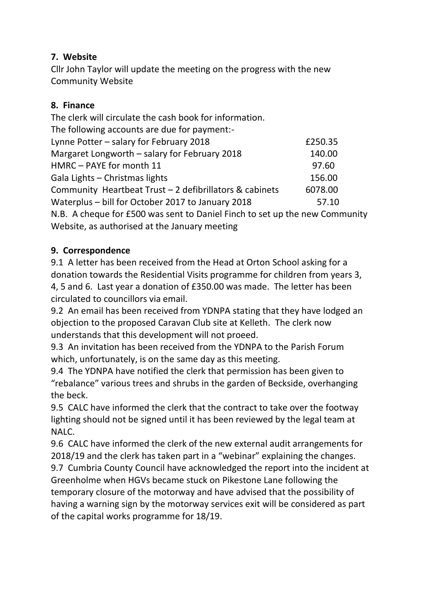# **7. Website**

Cllr John Taylor will update the meeting on the progress with the new Community Website

## **8. Finance**

The clerk will circulate the cash book for information. The following accounts are due for payment:- Lynne Potter – salary for February 2018 **EXALL** Margaret Longworth – salary for February 2018 140.00 HMRC – PAYE for month 11 97.60 Gala Lights – Christmas lights 156.00 Community Heartbeat Trust – 2 defibrillators & cabinets 6078.00 Waterplus – bill for October 2017 to January 2018 57.10 N.B. A cheque for £500 was sent to Daniel Finch to set up the new Community Website, as authorised at the January meeting

# **9. Correspondence**

9.1 A letter has been received from the Head at Orton School asking for a donation towards the Residential Visits programme for children from years 3, 4, 5 and 6. Last year a donation of £350.00 was made. The letter has been circulated to councillors via email.

9.2 An email has been received from YDNPA stating that they have lodged an objection to the proposed Caravan Club site at Kelleth. The clerk now understands that this development will not proeed.

9.3 An invitation has been received from the YDNPA to the Parish Forum which, unfortunately, is on the same day as this meeting.

9.4 The YDNPA have notified the clerk that permission has been given to "rebalance" various trees and shrubs in the garden of Beckside, overhanging the beck.

9.5 CALC have informed the clerk that the contract to take over the footway lighting should not be signed until it has been reviewed by the legal team at NALC.

9.6 CALC have informed the clerk of the new external audit arrangements for 2018/19 and the clerk has taken part in a "webinar" explaining the changes.

9.7 Cumbria County Council have acknowledged the report into the incident at Greenholme when HGVs became stuck on Pikestone Lane following the temporary closure of the motorway and have advised that the possibility of having a warning sign by the motorway services exit will be considered as part of the capital works programme for 18/19.